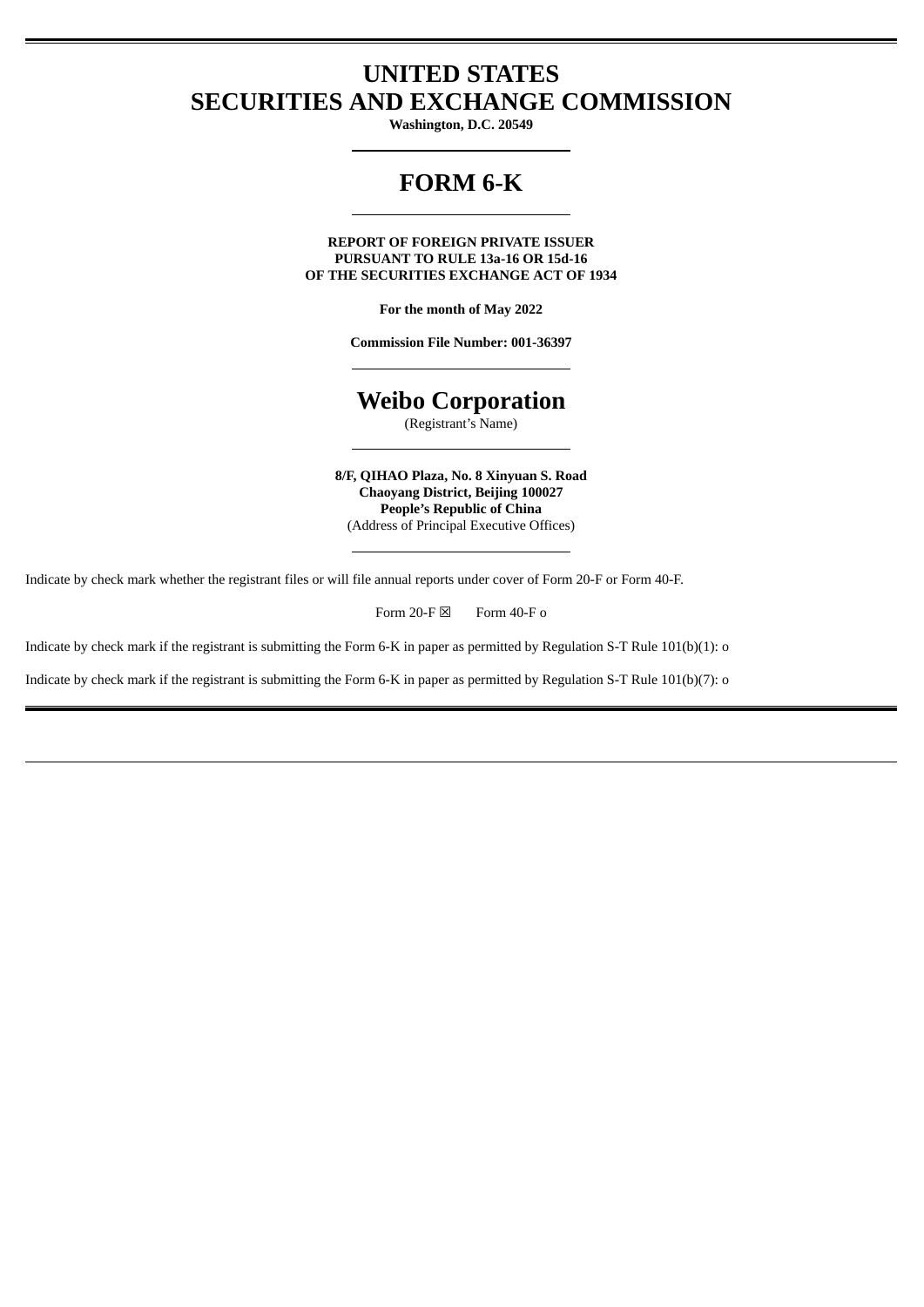## **UNITED STATES SECURITIES AND EXCHANGE COMMISSION**

**Washington, D.C. 20549**

# **FORM 6-K**

**REPORT OF FOREIGN PRIVATE ISSUER PURSUANT TO RULE 13a-16 OR 15d-16 OF THE SECURITIES EXCHANGE ACT OF 1934**

**For the month of May 2022**

**Commission File Number: 001-36397**

### **Weibo Corporation**

(Registrant's Name)

**8/F, QIHAO Plaza, No. 8 Xinyuan S. Road Chaoyang District, Beijing 100027 People's Republic of China** (Address of Principal Executive Offices)

Indicate by check mark whether the registrant files or will file annual reports under cover of Form 20-F or Form 40-F.

Form 20-F  $\boxtimes$  Form 40-F o

Indicate by check mark if the registrant is submitting the Form 6-K in paper as permitted by Regulation S-T Rule 101(b)(1): o

Indicate by check mark if the registrant is submitting the Form 6-K in paper as permitted by Regulation S-T Rule 101(b)(7): o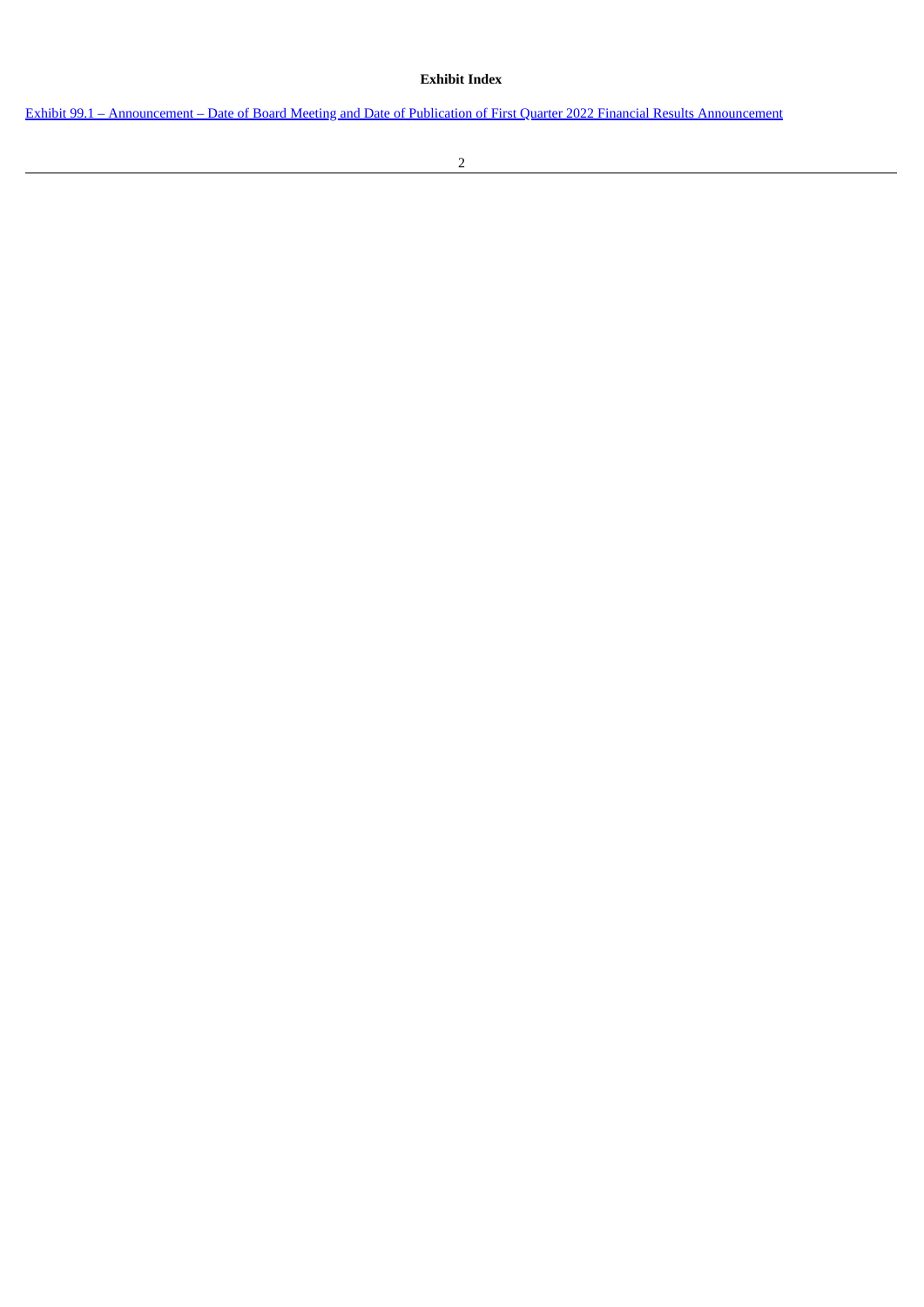### **Exhibit Index**

Exhibit 99.1 – [Announcement](#page-3-0) – Date of Board Meeting and Date of Publication of First Quarter 2022 Financial Results Announcement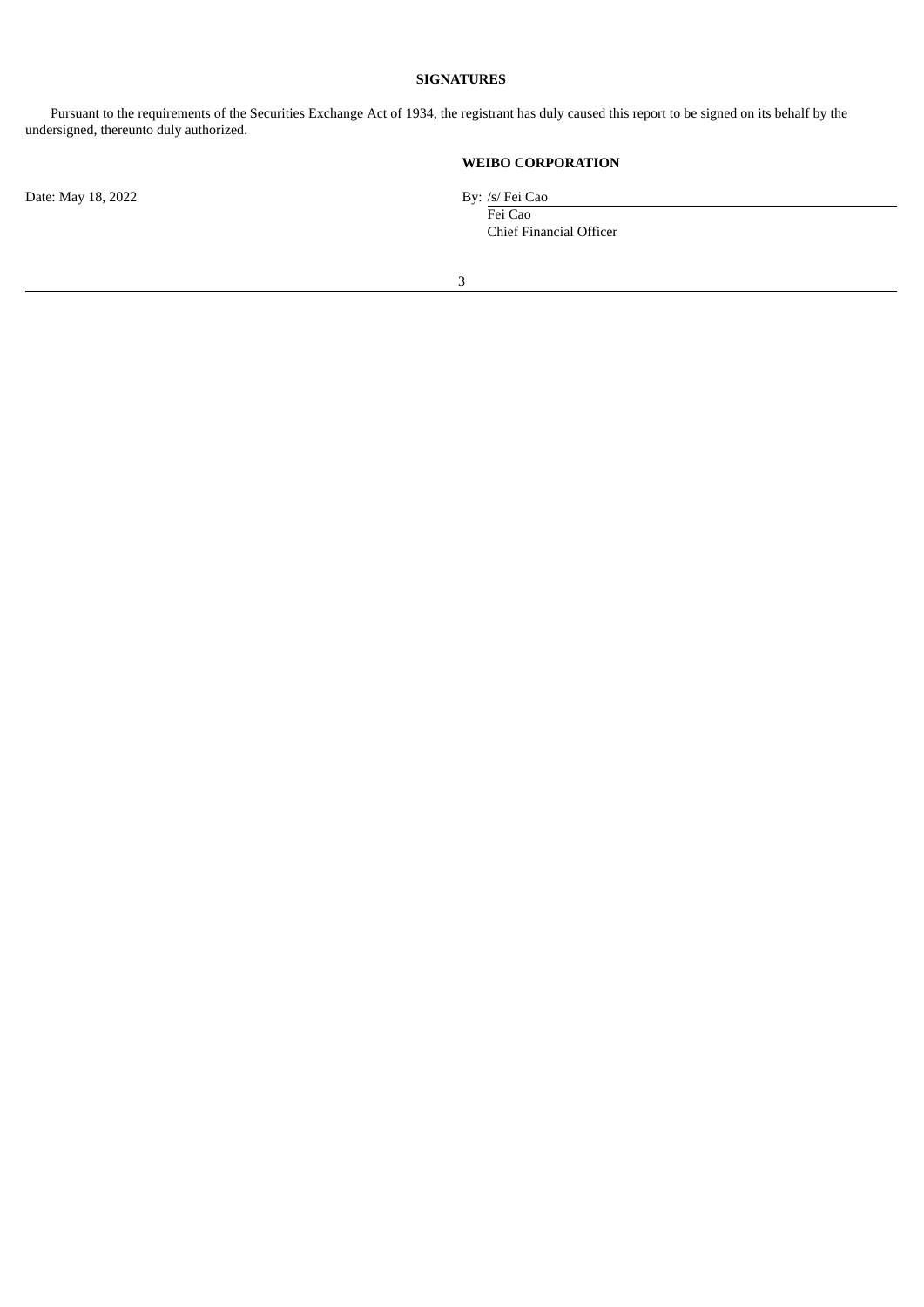#### **SIGNATURES**

Pursuant to the requirements of the Securities Exchange Act of 1934, the registrant has duly caused this report to be signed on its behalf by the undersigned, thereunto duly authorized.

### **WEIBO CORPORATION**

Fei Cao Chief Financial Officer

Date: May 18, 2022 By: /s/ Fei Cao